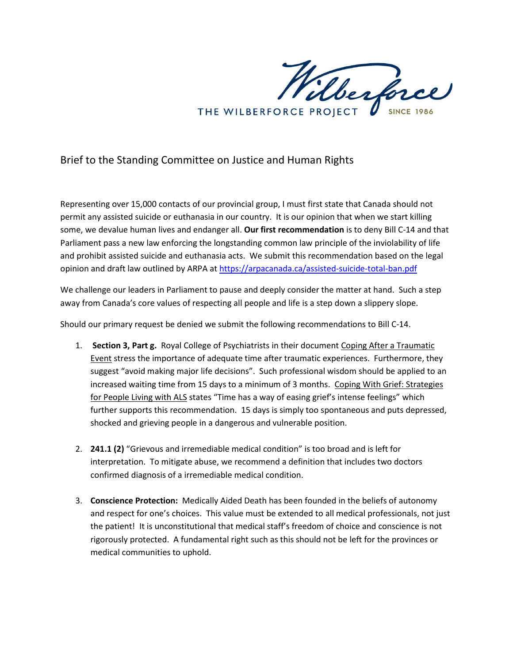Wilberforce THE WILBERFORCE PROJECT

## Brief to the Standing Committee on Justice and Human Rights

Representing over 15,000 contacts of our provincial group, I must first state that Canada should not permit any assisted suicide or euthanasia in our country. It is our opinion that when we start killing some, we devalue human lives and endanger all. **Our first recommendation** is to deny Bill C-14 and that Parliament pass a new law enforcing the longstanding common law principle of the inviolability of life and prohibit assisted suicide and euthanasia acts. We submit this recommendation based on the legal opinion and draft law outlined by ARPA a[t https://arpacanada.ca/assisted-suicide-total-ban.pdf](https://arpacanada.ca/assisted-suicide-total-ban.pdf)

We challenge our leaders in Parliament to pause and deeply consider the matter at hand. Such a step away from Canada's core values of respecting all people and life is a step down a slippery slope.

Should our primary request be denied we submit the following recommendations to Bill C-14.

- 1. **Section 3, Part g.** Royal College of Psychiatrists in their document Coping After a Traumatic Event stress the importance of adequate time after traumatic experiences. Furthermore, they suggest "avoid making major life decisions". Such professional wisdom should be applied to an increased waiting time from 15 days to a minimum of 3 months. Coping With Grief: Strategies for People Living with ALS states "Time has a way of easing grief's intense feelings" which further supports this recommendation. 15 days is simply too spontaneous and puts depressed, shocked and grieving people in a dangerous and vulnerable position.
- 2. **241.1 (2)** "Grievous and irremediable medical condition" is too broad and is left for interpretation. To mitigate abuse, we recommend a definition that includes two doctors confirmed diagnosis of a irremediable medical condition.
- 3. **Conscience Protection:** Medically Aided Death has been founded in the beliefs of autonomy and respect for one's choices. This value must be extended to all medical professionals, not just the patient! It is unconstitutional that medical staff's freedom of choice and conscience is not rigorously protected. A fundamental right such as this should not be left for the provinces or medical communities to uphold.